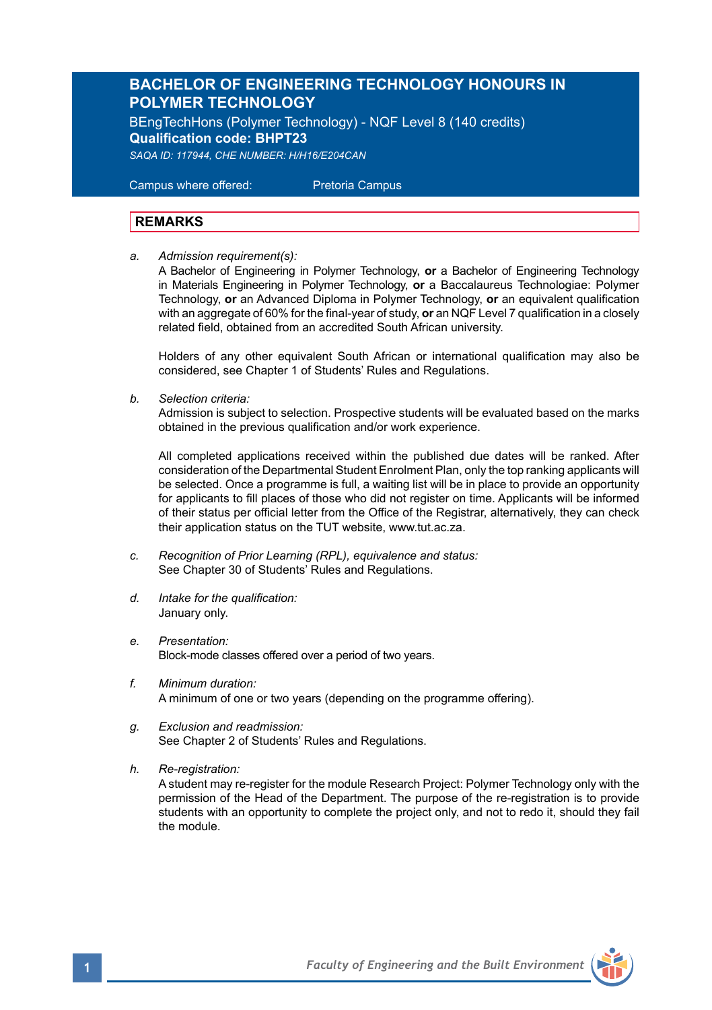# **BACHELOR OF ENGINEERING TECHNOLOGY HONOURS IN POLYMER TECHNOLOGY**

BEngTechHons (Polymer Technology) - NQF Level 8 (140 credits) **Qualification code: BHPT23** *SAQA ID: 117944, CHE NUMBER: H/H16/E204CAN*

 Campus where offered: Pretoria Campus

# **REMARKS**

*a. Admission requirement(s):*

A Bachelor of Engineering in Polymer Technology, **or** a Bachelor of Engineering Technology in Materials Engineering in Polymer Technology, **or** a Baccalaureus Technologiae: Polymer Technology, **or** an Advanced Diploma in Polymer Technology, **or** an equivalent qualification with an aggregate of 60% for the final-year of study, **or** an NQF Level 7 qualification in a closely related field, obtained from an accredited South African university.

Holders of any other equivalent South African or international qualification may also be considered, see Chapter 1 of Students' Rules and Regulations.

*b. Selection criteria:*

Admission is subject to selection. Prospective students will be evaluated based on the marks obtained in the previous qualification and/or work experience.

All completed applications received within the published due dates will be ranked. After consideration of the Departmental Student Enrolment Plan, only the top ranking applicants will be selected. Once a programme is full, a waiting list will be in place to provide an opportunity for applicants to fill places of those who did not register on time. Applicants will be informed of their status per official letter from the Office of the Registrar, alternatively, they can check their application status on the TUT website, www.tut.ac.za.

- *c. Recognition of Prior Learning (RPL), equivalence and status:* See Chapter 30 of Students' Rules and Regulations.
- *d. Intake for the qualification:* January only.
- *e. Presentation:*  Block-mode classes offered over a period of two years.
- *f. Minimum duration:* A minimum of one or two years (depending on the programme offering).
- *g. Exclusion and readmission:* See Chapter 2 of Students' Rules and Regulations.
- *h. Re-registration:*

A student may re-register for the module Research Project: Polymer Technology only with the permission of the Head of the Department. The purpose of the re-registration is to provide students with an opportunity to complete the project only, and not to redo it, should they fail the module.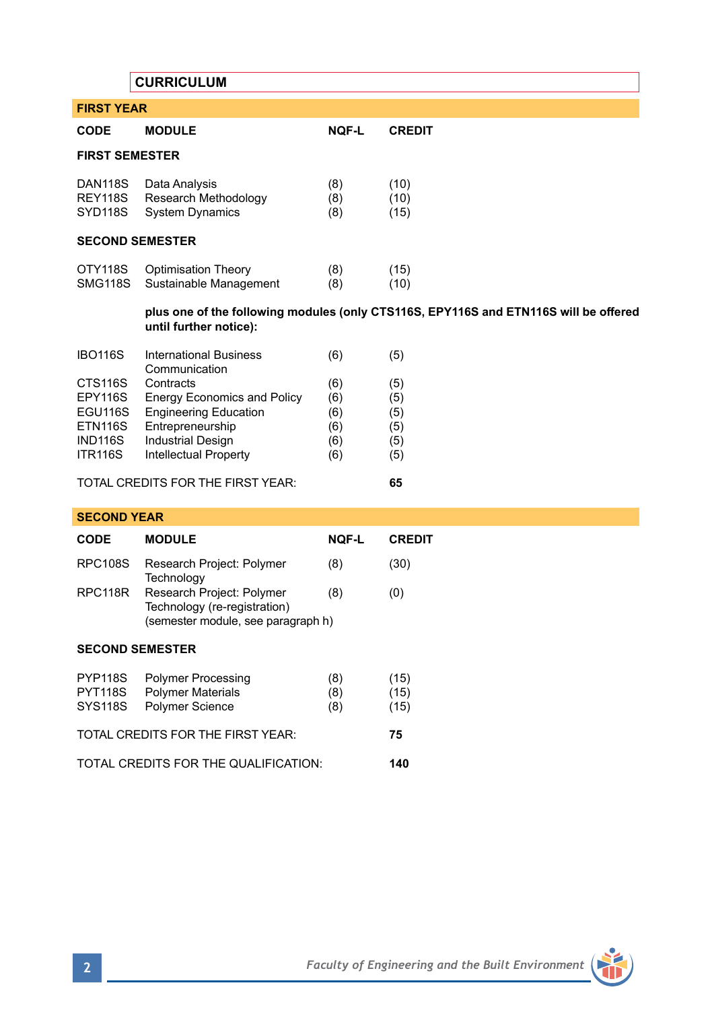|                                                                                                                                | <b>CURRICULUM</b>                                                                                                                                                                                                 |                                               |                                               |
|--------------------------------------------------------------------------------------------------------------------------------|-------------------------------------------------------------------------------------------------------------------------------------------------------------------------------------------------------------------|-----------------------------------------------|-----------------------------------------------|
| <b>FIRST YEAR</b>                                                                                                              |                                                                                                                                                                                                                   |                                               |                                               |
| <b>CODE</b>                                                                                                                    | <b>MODULE</b>                                                                                                                                                                                                     | <b>NOF-L</b>                                  | <b>CREDIT</b>                                 |
| <b>FIRST SEMESTER</b>                                                                                                          |                                                                                                                                                                                                                   |                                               |                                               |
| <b>DAN118S</b><br><b>REY118S</b><br>SYD118S                                                                                    | Data Analysis<br>Research Methodology<br><b>System Dynamics</b>                                                                                                                                                   | (8)<br>(8)<br>(8)                             | (10)<br>(10)<br>(15)                          |
| <b>SECOND SEMESTER</b>                                                                                                         |                                                                                                                                                                                                                   |                                               |                                               |
| OTY118S<br><b>SMG118S</b>                                                                                                      | <b>Optimisation Theory</b><br>Sustainable Management                                                                                                                                                              | (8)<br>(8)                                    | (15)<br>(10)                                  |
|                                                                                                                                | plus one of the following modules (only CTS116S, EPY116S and ETN116S will be offered<br>until further notice):                                                                                                    |                                               |                                               |
| <b>IBO116S</b><br>CTS <sub>116</sub> S<br><b>EPY116S</b><br>EGU116S<br><b>ETN116S</b><br>IND <sub>116S</sub><br><b>ITR116S</b> | <b>International Business</b><br>Communication<br>Contracts<br><b>Energy Economics and Policy</b><br><b>Engineering Education</b><br>Entrepreneurship<br><b>Industrial Design</b><br><b>Intellectual Property</b> | (6)<br>(6)<br>(6)<br>(6)<br>(6)<br>(6)<br>(6) | (5)<br>(5)<br>(5)<br>(5)<br>(5)<br>(5)<br>(5) |
| TOTAL CREDITS FOR THE FIRST YEAR:                                                                                              |                                                                                                                                                                                                                   | 65                                            |                                               |
| <b>SECOND YEAR</b>                                                                                                             |                                                                                                                                                                                                                   |                                               |                                               |
| <b>CODE</b>                                                                                                                    | <b>MODULE</b>                                                                                                                                                                                                     | <b>NQF-L</b>                                  | <b>CREDIT</b>                                 |
| <b>RPC108S</b>                                                                                                                 | Research Project: Polymer                                                                                                                                                                                         | (8)                                           | (30)                                          |
| RPC118R                                                                                                                        | Technology<br>Research Project: Polymer<br>Technology (re-registration)<br>(semester module, see paragraph h)                                                                                                     | (8)                                           | (0)                                           |
| <b>SECOND SEMESTER</b>                                                                                                         |                                                                                                                                                                                                                   |                                               |                                               |
| <b>PYP118S</b><br><b>PYT118S</b><br><b>SYS118S</b>                                                                             | <b>Polymer Processing</b><br><b>Polymer Materials</b><br>Polymer Science                                                                                                                                          | (8)<br>(8)<br>(8)                             | (15)<br>(15)<br>(15)                          |
| TOTAL CREDITS FOR THE FIRST YEAR:                                                                                              |                                                                                                                                                                                                                   |                                               | 75                                            |
| TOTAL CREDITS FOR THE QUALIFICATION:                                                                                           |                                                                                                                                                                                                                   |                                               | 140                                           |



z Ť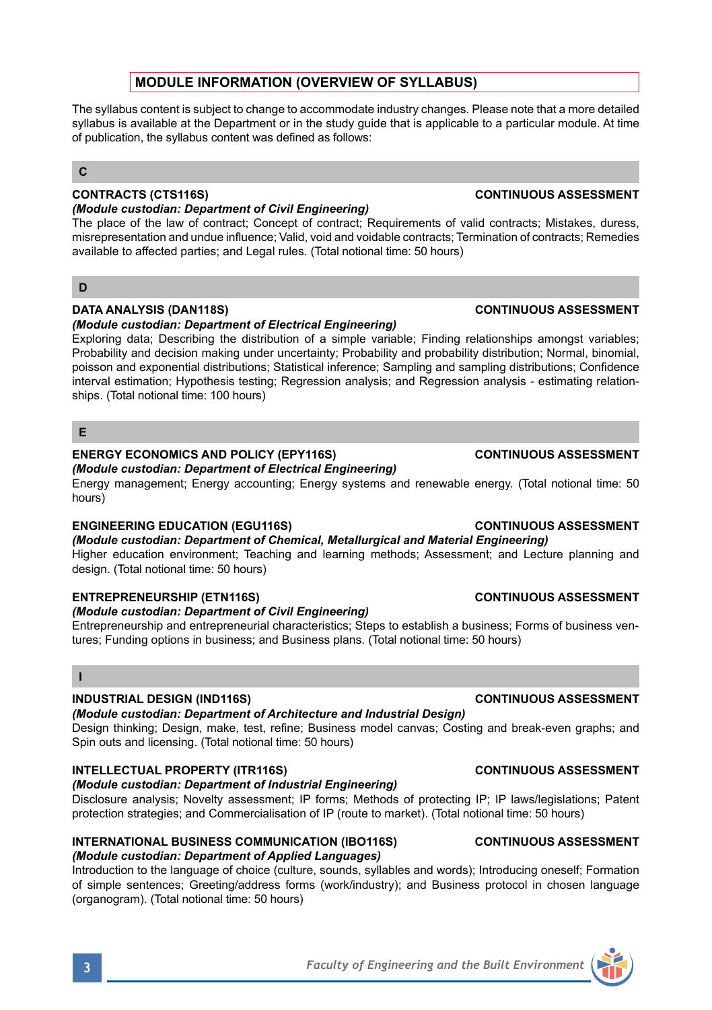# **MODULE INFORMATION (OVERVIEW OF SYLLABUS)**

The syllabus content is subject to change to accommodate industry changes. Please note that a more detailed syllabus is available at the Department or in the study guide that is applicable to a particular module. At time of publication, the syllabus content was defined as follows:

# **C**

# *(Module custodian: Department of Civil Engineering)*

The place of the law of contract; Concept of contract; Requirements of valid contracts; Mistakes, duress, misrepresentation and undue influence; Valid, void and voidable contracts; Termination of contracts; Remedies available to affected parties; and Legal rules. (Total notional time: 50 hours)

# **D**

# **DATA ANALYSIS (DAN118S) CONTINUOUS ASSESSMENT**

# *(Module custodian: Department of Electrical Engineering)*

Exploring data; Describing the distribution of a simple variable; Finding relationships amongst variables; Probability and decision making under uncertainty; Probability and probability distribution; Normal, binomial, poisson and exponential distributions; Statistical inference; Sampling and sampling distributions; Confidence interval estimation; Hypothesis testing; Regression analysis; and Regression analysis - estimating relationships. (Total notional time: 100 hours)

# **E**

# **ENERGY ECONOMICS AND POLICY (EPY116S) CONTINUOUS ASSESSMENT**

# *(Module custodian: Department of Electrical Engineering)*

Energy management; Energy accounting; Energy systems and renewable energy. (Total notional time: 50 hours)

# **ENGINEERING EDUCATION (EGU116S) CONTINUOUS ASSESSMENT**

*(Module custodian: Department of Chemical, Metallurgical and Material Engineering)* Higher education environment; Teaching and learning methods; Assessment; and Lecture planning and design. (Total notional time: 50 hours)

# **ENTREPRENEURSHIP (ETN116S) CONTINUOUS ASSESSMENT**

# *(Module custodian: Department of Civil Engineering)*

Entrepreneurship and entrepreneurial characteristics; Steps to establish a business; Forms of business ventures; Funding options in business; and Business plans. (Total notional time: 50 hours)

# **I**

# **INDUSTRIAL DESIGN (IND116S) CONTINUOUS ASSESSMENT**

# *(Module custodian: Department of Architecture and Industrial Design)*

Design thinking; Design, make, test, refine; Business model canvas; Costing and break-even graphs; and Spin outs and licensing. (Total notional time: 50 hours)

# **INTELLECTUAL PROPERTY (ITR116S) CONTINUOUS ASSESSMENT**

# *(Module custodian: Department of Industrial Engineering)*

Disclosure analysis; Novelty assessment; IP forms; Methods of protecting IP; IP laws/legislations; Patent protection strategies; and Commercialisation of IP (route to market). (Total notional time: 50 hours)

### **INTERNATIONAL BUSINESS COMMUNICATION (IBO116S) CONTINUOUS ASSESSMENT**  *(Module custodian: Department of Applied Languages)*

Introduction to the language of choice (culture, sounds, syllables and words); Introducing oneself; Formation of simple sentences; Greeting/address forms (work/industry); and Business protocol in chosen language (organogram). (Total notional time: 50 hours)

# **3** *Faculty of Engineering and the Built Environment*

# **CONTRACTS (CTS116S) CONTINUOUS ASSESSMENT**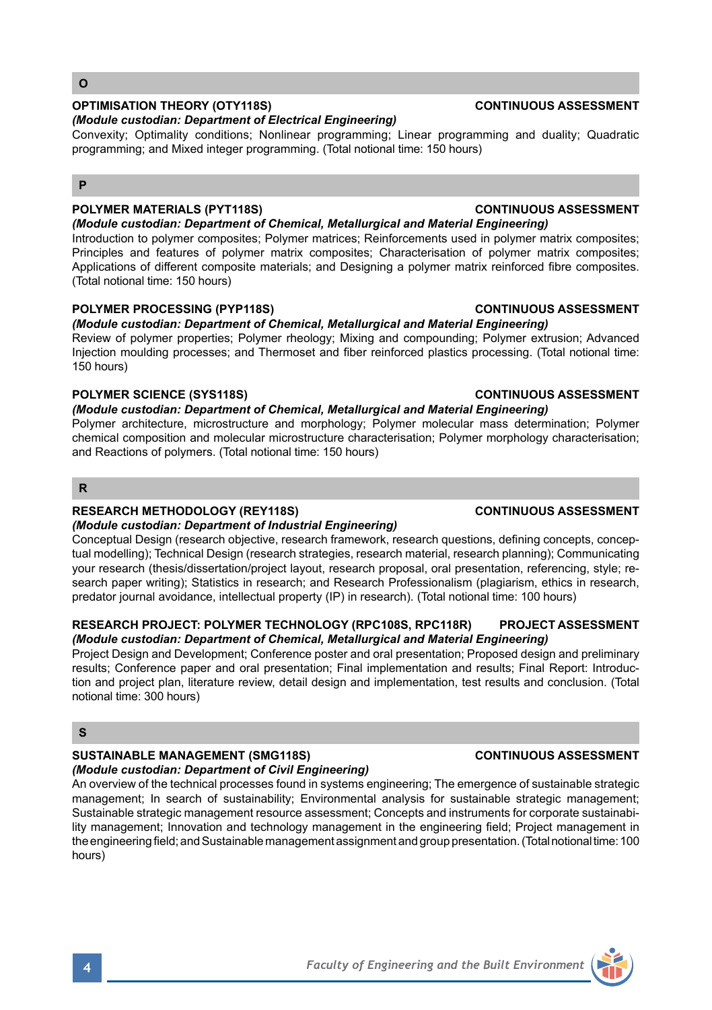# **OPTIMISATION THEORY (OTY118S) CONTINUOUS ASSESSMENT**

# *(Module custodian: Department of Electrical Engineering)*

Convexity; Optimality conditions; Nonlinear programming; Linear programming and duality; Quadratic programming; and Mixed integer programming. (Total notional time: 150 hours)

# **P**

# **POLYMER MATERIALS (PYT118S) CONTINUOUS ASSESSMENT**

*(Module custodian: Department of Chemical, Metallurgical and Material Engineering)* Introduction to polymer composites; Polymer matrices; Reinforcements used in polymer matrix composites; Principles and features of polymer matrix composites; Characterisation of polymer matrix composites; Applications of different composite materials; and Designing a polymer matrix reinforced fibre composites. (Total notional time: 150 hours)

# **POLYMER PROCESSING (PYP118S) CONTINUOUS ASSESSMENT**

*(Module custodian: Department of Chemical, Metallurgical and Material Engineering)* Review of polymer properties; Polymer rheology; Mixing and compounding; Polymer extrusion; Advanced Injection moulding processes; and Thermoset and fiber reinforced plastics processing. (Total notional time: 150 hours)

# **POLYMER SCIENCE (SYS118S) CONTINUOUS ASSESSMENT**

# *(Module custodian: Department of Chemical, Metallurgical and Material Engineering)*

Polymer architecture, microstructure and morphology; Polymer molecular mass determination; Polymer chemical composition and molecular microstructure characterisation; Polymer morphology characterisation; and Reactions of polymers. (Total notional time: 150 hours)

# **R**

# **RESEARCH METHODOLOGY (REY118S) CONTINUOUS ASSESSMENT**

*(Module custodian: Department of Industrial Engineering)*

Conceptual Design (research objective, research framework, research questions, defining concepts, conceptual modelling); Technical Design (research strategies, research material, research planning); Communicating your research (thesis/dissertation/project layout, research proposal, oral presentation, referencing, style; research paper writing); Statistics in research; and Research Professionalism (plagiarism, ethics in research, predator journal avoidance, intellectual property (IP) in research). (Total notional time: 100 hours)

# **RESEARCH PROJECT: POLYMER TECHNOLOGY (RPC108S, RPC118R) PROJECT ASSESSMENT** *(Module custodian: Department of Chemical, Metallurgical and Material Engineering)*

Project Design and Development; Conference poster and oral presentation; Proposed design and preliminary results; Conference paper and oral presentation; Final implementation and results; Final Report: Introduction and project plan, literature review, detail design and implementation, test results and conclusion. (Total notional time: 300 hours)

# **S**

# **SUSTAINABLE MANAGEMENT (SMG118S) CONTINUOUS ASSESSMENT**

# *(Module custodian: Department of Civil Engineering)*

An overview of the technical processes found in systems engineering; The emergence of sustainable strategic management; In search of sustainability; Environmental analysis for sustainable strategic management; Sustainable strategic management resource assessment; Concepts and instruments for corporate sustainability management; Innovation and technology management in the engineering field; Project management in the engineering field; and Sustainable management assignment and group presentation. (Total notional time: 100 hours)

# **4** *Faculty of Engineering and the Built Environment*